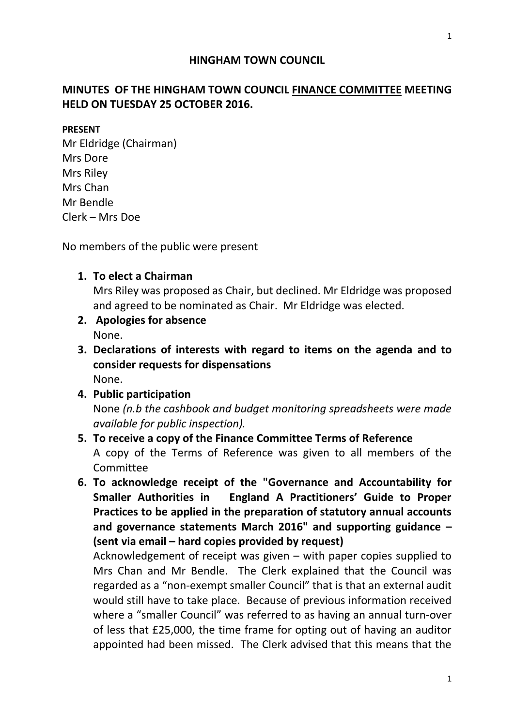## **HINGHAM TOWN COUNCIL**

# **MINUTES OF THE HINGHAM TOWN COUNCIL FINANCE COMMITTEE MEETING HELD ON TUESDAY 25 OCTOBER 2016.**

#### **PRESENT**

Mr Eldridge (Chairman) Mrs Dore Mrs Riley Mrs Chan Mr Bendle Clerk – Mrs Doe

No members of the public were present

### **1. To elect a Chairman**

Mrs Riley was proposed as Chair, but declined. Mr Eldridge was proposed and agreed to be nominated as Chair. Mr Eldridge was elected.

- **2. Apologies for absence**  None.
- **3. Declarations of interests with regard to items on the agenda and to consider requests for dispensations** None.
- **4. Public participation** None *(n.b the cashbook and budget monitoring spreadsheets were made available for public inspection).*
- **5. To receive a copy of the Finance Committee Terms of Reference** A copy of the Terms of Reference was given to all members of the Committee
- **6. To acknowledge receipt of the "Governance and Accountability for Smaller Authorities in England A Practitioners' Guide to Proper Practices to be applied in the preparation of statutory annual accounts and governance statements March 2016" and supporting guidance – (sent via email – hard copies provided by request)**

Acknowledgement of receipt was given – with paper copies supplied to Mrs Chan and Mr Bendle. The Clerk explained that the Council was regarded as a "non-exempt smaller Council" that is that an external audit would still have to take place. Because of previous information received where a "smaller Council" was referred to as having an annual turn-over of less that £25,000, the time frame for opting out of having an auditor appointed had been missed. The Clerk advised that this means that the